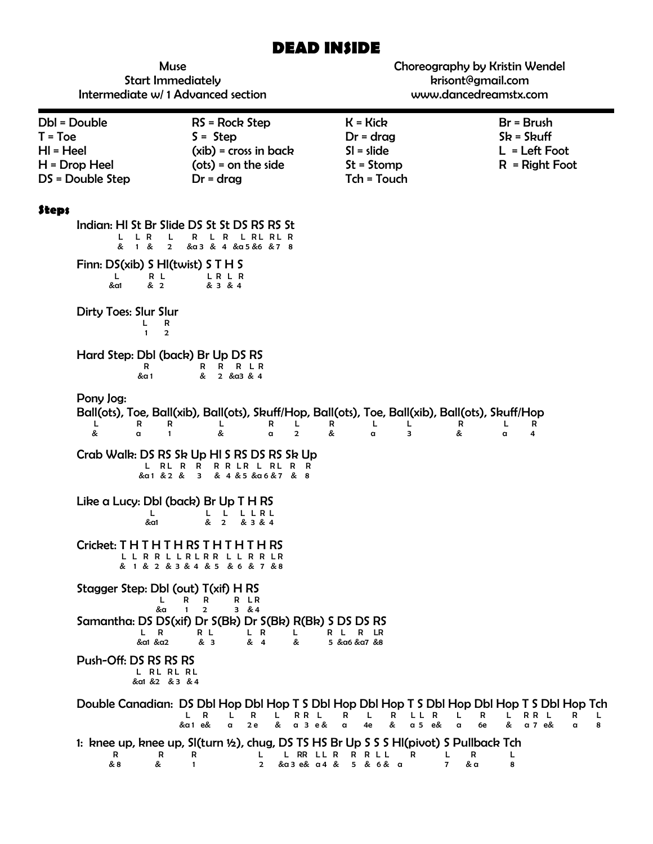# **DEAD INSIDE**

| <b>Muse</b><br><b>Start Immediately</b><br>Intermediate w/1 Advanced section                                                                                |                                                                                                                                                             |                                                                                                                                | Choreography by Kristin Wendel<br>krisont@gmail.com<br>www.dancedreamstx.com                                                                                            |  |
|-------------------------------------------------------------------------------------------------------------------------------------------------------------|-------------------------------------------------------------------------------------------------------------------------------------------------------------|--------------------------------------------------------------------------------------------------------------------------------|-------------------------------------------------------------------------------------------------------------------------------------------------------------------------|--|
| Dbl = Double<br>$T = Toe$<br>$HI = Heel$<br>$H = Drop Heel$<br>DS = Double Step                                                                             | RS = Rock Step<br>$S =$ Step<br>$(xib)$ = cross in back<br>$(ots) = on the side$<br>$Dr = drag$                                                             | $K = Kick$<br>$Dr = drag$<br>$SI = slide$<br>$St = Stomp$<br>Tch = Touch                                                       | $Br = Brush$<br>$Sk = Skuff$<br>$L = Left Foot$<br>$R = Right Foot$                                                                                                     |  |
| <b>Steps</b><br>L R<br>L<br>L<br>& 1 &<br>$\overline{2}$<br>Finn: DS(xib) S HI(twist) S T H S<br>L.<br>R L<br>&a1<br>& 2<br>Dirty Toes: Slur Slur<br>L<br>R | Indian: HI St Br Slide DS St St DS RS RS St<br>R L R L RL RL R<br>&a3 & 4 &a5 &6 &7 8<br>LRLR<br>& 3 & 4                                                    |                                                                                                                                |                                                                                                                                                                         |  |
| $\mathbf{1}$<br>$\overline{2}$<br>Hard Step: DbI (back) Br Up DS RS<br>R<br>&a 1<br>Pony Jog:<br>R<br>R<br>L.<br>&<br>a<br>$\mathbf{1}$                     | R R L R<br>R<br>& 2 & a3 & 4<br>L<br>L<br>R<br>&<br>$\overline{2}$<br>a                                                                                     | Ball(ots), Toe, Ball(xib), Ball(ots), Skuff/Hop, Ball(ots), Toe, Ball(xib), Ball(ots), Skuff/Hop<br>R<br>L<br>L<br>&<br>3<br>a | R<br>R<br>L<br>&<br>a<br>4                                                                                                                                              |  |
| L RL R R                                                                                                                                                    | Crab Walk: DS RS Sk Up HI S RS DS RS Sk Up<br>R R L R L R L R R<br>&a1 & 2 & 3 & 4 & 5 & a6 & 7 & 8                                                         |                                                                                                                                |                                                                                                                                                                         |  |
| Like a Lucy: Dbl (back) Br Up T H RS<br>L<br>&a1                                                                                                            | L<br>LLRL<br>& 2<br>& 3 & 4                                                                                                                                 |                                                                                                                                |                                                                                                                                                                         |  |
| Cricket: THTHTHTHS<br>R<br>R                                                                                                                                | R<br>R<br>R<br>& 1 & 2 & 3 & 4 & 5 & 6 & 7 & 8                                                                                                              |                                                                                                                                |                                                                                                                                                                         |  |
| Stagger Step: Dbl (out) T(xif) H RS<br>L<br>&a<br>L,<br>R<br>&a1 &a2                                                                                        | R<br>R LR<br>R<br>3 & 84<br>$\mathbf{1}$<br>$\overline{2}$<br>Samantha: DS DS(xif) Dr S(Bk) Dr S(Bk) R(Bk) S DS DS RS<br>R L<br>L R<br>L<br>& 3<br>& 4<br>& | R L<br>R<br>LR<br>5 & α6 & α7 & 8                                                                                              |                                                                                                                                                                         |  |
| Push-Off: DS RS RS RS<br>L RL RL RL<br>&al &2 & 3 & 4                                                                                                       |                                                                                                                                                             |                                                                                                                                |                                                                                                                                                                         |  |
|                                                                                                                                                             | R<br>RR L<br>L.<br>R<br>L<br>L.<br>&<br>&a1 e&<br>2e<br>$a \, 3 \, e \, \&$<br>$\alpha$                                                                     | R<br>L<br>R<br>L L<br>R<br>&<br>4e<br>a <sub>5</sub><br>$\alpha$<br>e&                                                         | Double Canadian: DS Dbl Hop Dbl Hop T S Dbl Hop Dbl Hop T S Dbl Hop Dbl Hop T S Dbl Hop Tch<br>L<br>RR L<br>R<br>L<br>R<br>L<br>&<br>a 7 e&<br>6e<br>8<br>$\alpha$<br>a |  |
| R<br>R<br>& 8<br>&                                                                                                                                          | R<br>L RR LL R<br>L<br>$\overline{2}$<br>&a3 e& a4 &<br>$\mathbf{1}$                                                                                        | 1: knee up, knee up, SI(turn 1/2), chug, DS TS HS Br Up S S S HI(pivot) S Pullback Tch<br><b>RRLL</b><br>R<br>5 & 6 & a        | L<br>R<br>L<br>$\overline{7}$<br>& a<br>8                                                                                                                               |  |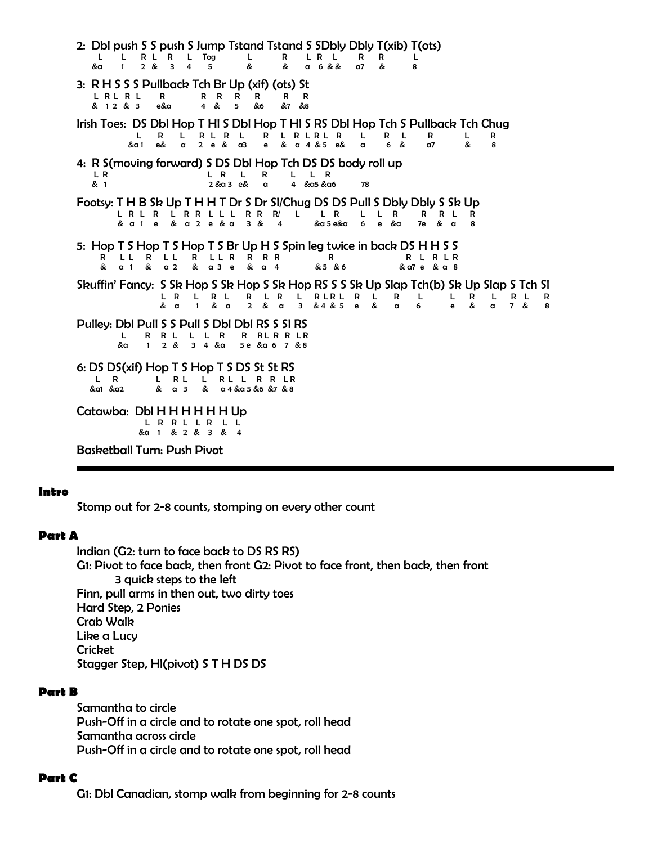2: Dbl push S S push S Jump Tstand Tstand S SDbly Dbly T(xib) T(ots) L L R L R L Tog L R L R L R R L &a 1 2 & 3 4 5 & & a 6 & & a7 & 8 3: R H S S S Pullback Tch Br Up (xif) (ots) St L R L R L R R R R R R R & 1 2 & 3 e&a 4 & 5 &6 &7 &8 Irish Toes: DS Dbl Hop T Hl S Dbl Hop T Hl S RS Dbl Hop Tch S Pullback Tch Chug L R L R L R L R L R L R L R L R L R L R &a 1 e& a 2 e & a3 e & a 4 & 5 e& a 6 & a7 & 8 4: R S(moving forward) S DS Dbl Hop Tch DS DS body roll up LR L R L L R L L R & 1 2 &a 3 e& a 4 &a5 &a6 78 Footsy: T H B Sk Up T H H T Dr S Dr Sl/Chug DS DS Pull S Dbly Dbly S Sk Up L R L R L R R L L L R R R/ L L R L L R R R L R & a 1 e & a 2 e & a 3 & 4 &a 5 e&a 6 e &a 7e & a 8 5: Hop T S Hop T S Hop T S Br Up H S Spin leg twice in back DS H H S S R L L R L L R L L R R R R R R L R L R  $&$  a 1 & a 2 & a 3 e & a 4 Skuffin' Fancy: S Sk Hop S Sk Hop S Sk Hop RS S S Sk Up Slap Tch(b) Sk Up Slap S Tch Sl L R L R L R L R L R <sup>L</sup> R L R L R L L R L R L R & a 1 & a 2 & a 3 & 4 & 5 e & a 6 e & a 7 & 8 Pulley: Dbl Pull S S Pull S Dbl Dbl RS S Sl RS L R R L L L R R R L R R L R &a 1 2 & 3 4 &a 5 e &a 6 7 & 8 6: DS DS(xif) Hop T S Hop T S DS St St RS L R L R L L R L L R R L R &a1 &a2 & a 3 & a 4 &a 5 &6 &7 & 8 Catawba: Dbl H H H H H H Up L R R L L R L L &a 1 & 2 & 3 & 4

Basketball Turn: Push Pivot

#### **Intro**

Stomp out for 2-8 counts, stomping on every other count

#### **Part A**

Indian (G2: turn to face back to DS RS RS) G1: Pivot to face back, then front G2: Pivot to face front, then back, then front 3 quick steps to the left Finn, pull arms in then out, two dirty toes Hard Step, 2 Ponies Crab Walk Like a Lucy **Cricket** Stagger Step, Hl(pivot) S T H DS DS

#### **Part B**

Samantha to circle Push-Off in a circle and to rotate one spot, roll head Samantha across circle Push-Off in a circle and to rotate one spot, roll head

#### **Part C**

G1: Dbl Canadian, stomp walk from beginning for 2-8 counts